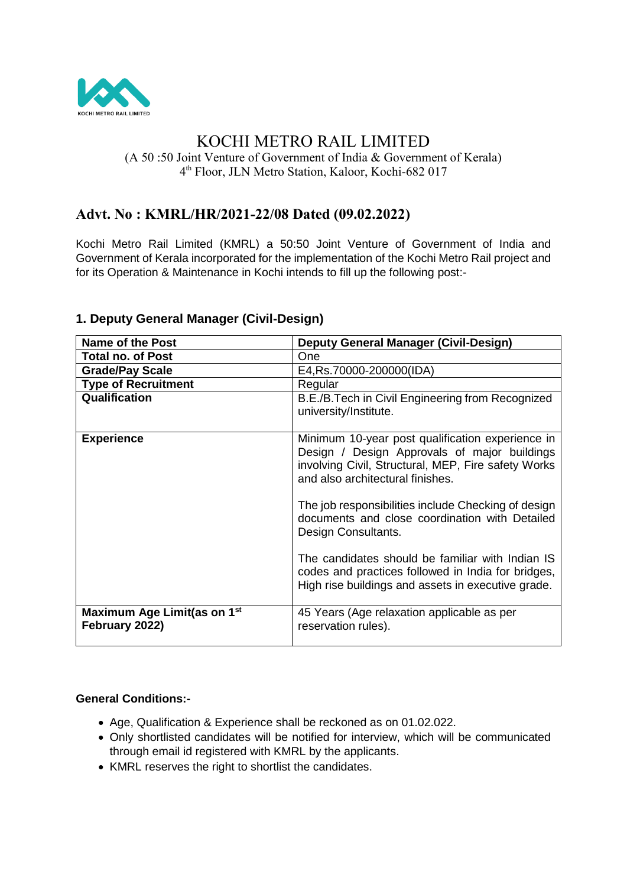

# KOCHI METRO RAIL LIMITED

(A 50 :50 Joint Venture of Government of India & Government of Kerala) 4 th Floor, JLN Metro Station, Kaloor, Kochi-682 017

## **Advt. No : KMRL/HR/2021-22/08 Dated (09.02.2022)**

Kochi Metro Rail Limited (KMRL) a 50:50 Joint Venture of Government of India and Government of Kerala incorporated for the implementation of the Kochi Metro Rail project and for its Operation & Maintenance in Kochi intends to fill up the following post:-

| <b>Name of the Post</b>                                   | <b>Deputy General Manager (Civil-Design)</b>                                                                                                                                                |
|-----------------------------------------------------------|---------------------------------------------------------------------------------------------------------------------------------------------------------------------------------------------|
| <b>Total no. of Post</b>                                  | One                                                                                                                                                                                         |
| <b>Grade/Pay Scale</b>                                    | E4, Rs. 70000-200000 (IDA)                                                                                                                                                                  |
| <b>Type of Recruitment</b>                                | Regular                                                                                                                                                                                     |
| Qualification                                             | B.E./B.Tech in Civil Engineering from Recognized<br>university/Institute.                                                                                                                   |
| <b>Experience</b>                                         | Minimum 10-year post qualification experience in<br>Design / Design Approvals of major buildings<br>involving Civil, Structural, MEP, Fire safety Works<br>and also architectural finishes. |
|                                                           | The job responsibilities include Checking of design<br>documents and close coordination with Detailed<br>Design Consultants.                                                                |
|                                                           | The candidates should be familiar with Indian IS<br>codes and practices followed in India for bridges,<br>High rise buildings and assets in executive grade.                                |
| Maximum Age Limit(as on 1 <sup>st</sup><br>February 2022) | 45 Years (Age relaxation applicable as per<br>reservation rules).                                                                                                                           |

## **1. Deputy General Manager (Civil-Design)**

#### **General Conditions:-**

- Age, Qualification & Experience shall be reckoned as on 01.02.022.
- Only shortlisted candidates will be notified for interview, which will be communicated through email id registered with KMRL by the applicants.
- KMRL reserves the right to shortlist the candidates.